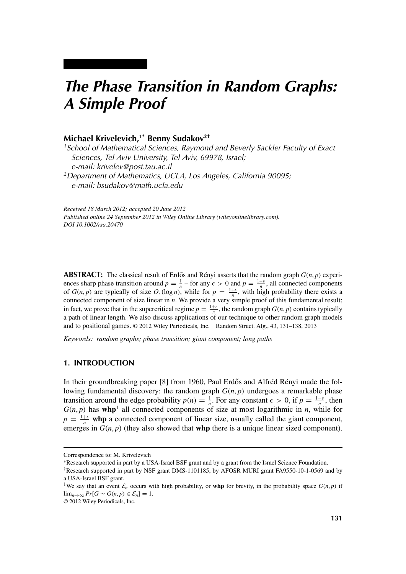# *The Phase Transition in Random Graphs: A Simple Proof*

## **Michael Krivelevich,1\* Benny Sudakov2†**

*1School of Mathematical Sciences, Raymond and Beverly Sackler Faculty of Exact Sciences, Tel Aviv University, Tel Aviv, 69978, Israel; e-mail: krivelev@post.tau.ac.il 2Department of Mathematics, UCLA, Los Angeles, California 90095; e-mail: bsudakov@math.ucla.edu*

*Received 18 March 2012; accepted 20 June 2012 Published online 24 September 2012 in Wiley Online Library (wileyonlinelibrary.com). DOI 10.1002/rsa.20470*

**ABSTRACT:** The classical result of Erdős and Rényi asserts that the random graph  $G(n, p)$  experiences sharp phase transition around  $p = \frac{1}{n}$  – for any  $\epsilon > 0$  and  $p = \frac{1-\epsilon}{n}$ , all connected components of  $G(n, p)$  are typically of size  $O_e(\log n)$ , while for  $p = \frac{1+\epsilon}{n}$ , with high probability there exists a connected component of size linear in *n*. We provide a very simple proof of this fundamental result; in fact, we prove that in the supercritical regime  $p = \frac{1+\epsilon}{n}$ , the random graph  $G(n, p)$  contains typically a path of linear length. We also discuss applications of our technique to other random graph models and to positional games. © 2012 Wiley Periodicals, Inc. Random Struct. Alg., 43, 131–138, 2013

*Keywords: random graphs; phase transition; giant component; long paths*

#### **1. INTRODUCTION**

In their groundbreaking paper [8] from 1960, Paul Erdős and Alfréd Rényi made the following fundamental discovery: the random graph  $G(n, p)$  undergoes a remarkable phase transition around the edge probability  $p(n) = \frac{1}{n}$ . For any constant  $\epsilon > 0$ , if  $p = \frac{1-\epsilon}{n}$ , then  $G(n, p)$  has whp<sup>1</sup> all connected components of size at most logarithmic in *n*, while for  $p = \frac{1+\epsilon}{n}$  whp a connected component of linear size, usually called the giant component, emerges in  $G(n, p)$  (they also showed that **whp** there is a unique linear sized component).

Correspondence to: M. Krivelevich

<sup>∗</sup>Research supported in part by a USA-Israel BSF grant and by a grant from the Israel Science Foundation.

<sup>†</sup>Research supported in part by NSF grant DMS-1101185, by AFOSR MURI grant FA9550-10-1-0569 and by a USA-Israel BSF grant.

<sup>&</sup>lt;sup>1</sup>We say that an event  $\mathcal{E}_n$  occurs with high probability, or whp for brevity, in the probability space  $G(n, p)$  if lim<sub>*n*→∞</sub>  $Pr[G \sim G(n, p) \in \mathcal{E}_n] = 1$ .

<sup>© 2012</sup> Wiley Periodicals, Inc.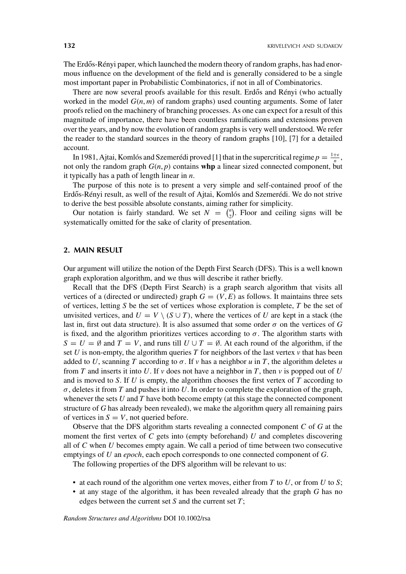The Erdős-Rényi paper, which launched the modern theory of random graphs, has had enormous influence on the development of the field and is generally considered to be a single most important paper in Probabilistic Combinatorics, if not in all of Combinatorics.

There are now several proofs available for this result. Erdős and Rényi (who actually worked in the model  $G(n, m)$  of random graphs) used counting arguments. Some of later proofs relied on the machinery of branching processes. As one can expect for a result of this magnitude of importance, there have been countless ramifications and extensions proven over the years, and by now the evolution of random graphs is very well understood. We refer the reader to the standard sources in the theory of random graphs [10], [7] for a detailed account.

In 1981, Ajtai, Komlós and Szemerédi proved [1] that in the supercritical regime  $p = \frac{1+\epsilon}{n}$ , not only the random graph *G*(*n*, *p*) contains **whp** a linear sized connected component, but it typically has a path of length linear in *n*.

The purpose of this note is to present a very simple and self-contained proof of the Erdős-Rényi result, as well of the result of Ajtai, Komlós and Szemerédi. We do not strive to derive the best possible absolute constants, aiming rather for simplicity.

Our notation is fairly standard. We set  $N = \binom{n}{2}$  $n_2$ ). Floor and ceiling signs will be systematically omitted for the sake of clarity of presentation.

### **2. MAIN RESULT**

Our argument will utilize the notion of the Depth First Search (DFS). This is a well known graph exploration algorithm, and we thus will describe it rather briefly.

Recall that the DFS (Depth First Search) is a graph search algorithm that visits all vertices of a (directed or undirected) graph  $G = (V, E)$  as follows. It maintains three sets of vertices, letting *S* be the set of vertices whose exploration is complete, *T* be the set of unvisited vertices, and  $U = V \setminus (S \cup T)$ , where the vertices of U are kept in a stack (the last in, first out data structure). It is also assumed that some order  $\sigma$  on the vertices of *G* is fixed, and the algorithm prioritizes vertices according to  $\sigma$ . The algorithm starts with  $S = U = \emptyset$  and  $T = V$ , and runs till  $U \cup T = \emptyset$ . At each round of the algorithm, if the set  $U$  is non-empty, the algorithm queries  $T$  for neighbors of the last vertex  $v$  that has been added to U, scanning T according to  $\sigma$ . If v has a neighbor u in T, the algorithm deletes u from *T* and inserts it into *U*. If *v* does not have a neighbor in *T*, then *v* is popped out of *U* and is moved to *S*. If *U* is empty, the algorithm chooses the first vertex of *T* according to  $\sigma$ , deletes it from *T* and pushes it into *U*. In order to complete the exploration of the graph, whenever the sets *U* and *T* have both become empty (at this stage the connected component structure of *G* has already been revealed), we make the algorithm query all remaining pairs of vertices in  $S = V$ , not queried before.

Observe that the DFS algorithm starts revealing a connected component *C* of *G* at the moment the first vertex of *C* gets into (empty beforehand) *U* and completes discovering all of *C* when *U* becomes empty again. We call a period of time between two consecutive emptyings of *U* an *epoch*, each epoch corresponds to one connected component of *G*.

The following properties of the DFS algorithm will be relevant to us:

- at each round of the algorithm one vertex moves, either from *T* to *U*, or from *U* to *S*;
- at any stage of the algorithm, it has been revealed already that the graph *G* has no edges between the current set *S* and the current set *T*;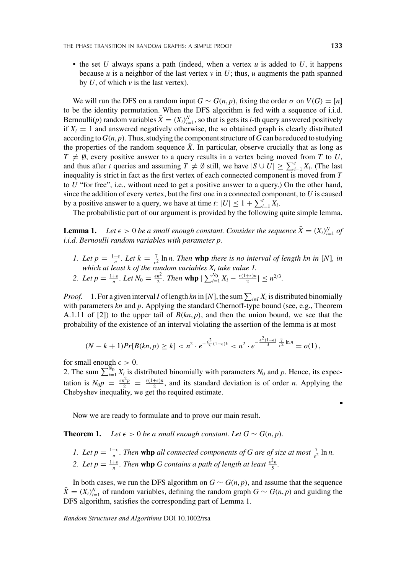• the set *U* always spans a path (indeed, when a vertex *u* is added to *U*, it happens because  $u$  is a neighbor of the last vertex  $v$  in  $U$ ; thus,  $u$  augments the path spanned by *U*, of which *v* is the last vertex).

We will run the DFS on a random input  $G \sim G(n, p)$ , fixing the order  $\sigma$  on  $V(G) = [n]$ to be the identity permutation. When the DFS algorithm is fed with a sequence of i.i.d. Bernoulli(*p*) random variables  $\bar{X} = (X_i)_{i=1}^N$ , so that is gets its *i*-th query answered positively if  $X_i = 1$  and answered negatively otherwise, the so obtained graph is clearly distributed according to  $G(n, p)$ . Thus, studying the component structure of  $G$  can be reduced to studying the properties of the random sequence  $\overline{X}$ . In particular, observe crucially that as long as  $T \neq \emptyset$ , every positive answer to a query results in a vertex being moved from *T* to *U*, and thus after *t* queries and assuming  $T \neq \emptyset$  still, we have  $|S \cup U| \geq \sum_{i=1}^{t} X_i$ . (The last inequality is strict in fact as the first vertex of each connected component is moved from *T* to *U* "for free", i.e., without need to get a positive answer to a query.) On the other hand, since the addition of every vertex, but the first one in a connected component, to *U* is caused by a positive answer to a query, we have at time  $t: |U| \leq 1 + \sum_{i=1}^{t} X_i$ .

The probabilistic part of our argument is provided by the following quite simple lemma.

**Lemma 1.**  $> 0$  *be a small enough constant. Consider the sequence*  $\bar{X} = (X_i)_{i=1}^N$  *of i.i.d. Bernoulli random variables with parameter p.*

*1. Let p* =  $\frac{1-\epsilon}{n}$ *. Let k* =  $\frac{7}{\epsilon^2}$  ln *n. Then* **whp** *there is no interval of length kn in* [*N*]*, in which at least k of the random variables Xi take value 1.* 2. Let  $p = \frac{1+\epsilon}{n}$ . Let  $N_0 = \frac{\epsilon n^2}{2}$ . Then **whp**  $|\sum_{i=1}^{N_0} X_i - \frac{\epsilon (1+\epsilon)n}{2}| \leq n^{2/3}$ .

*Proof.* 1. For a given interval *I* of length *kn* in [*N*], the sum  $\sum_{i \in I} X_i$  is distributed binomially with parameters *kn* and *p*. Applying the standard Chernoff-type bound (see, e.g., Theorem A.1.11 of [2]) to the upper tail of  $B(kn, p)$ , and then the union bound, we see that the probability of the existence of an interval violating the assertion of the lemma is at most

$$
(N-k+1)Pr[B(kn,p)\geq k] < n^2\cdot e^{-\frac{\epsilon^2}{3}(1-\epsilon)k} < n^2\cdot e^{-\frac{\epsilon^2(1-\epsilon)}{3}\frac{7}{\epsilon^2}\ln n} = o(1),
$$

for small enough  $\epsilon > 0$ .

2. The sum  $\sum_{i=1}^{N_0} X_i$  is distributed binomially with parameters  $N_0$  and  $p$ . Hence, its expectation is  $N_0 p = \frac{\epsilon n^2 p}{2} = \frac{\epsilon (1+\epsilon)n}{2}$ , and its standard deviation is of order *n*. Applying the Chebyshev inequality, we get the required estimate.

Now we are ready to formulate and to prove our main result.

**Theorem 1.** *Let*  $\epsilon > 0$  *be a small enough constant. Let*  $G \sim G(n, p)$ *.* 

*1. Let p* =  $\frac{1-\epsilon}{n}$ . Then whp *all connected components of G are of size at most*  $\frac{7}{\epsilon^2}$  ln *n*. 2. Let  $p = \frac{1+\epsilon}{n}$ . Then whp *G* contains a path of length at least  $\frac{\epsilon^2 n}{5}$ .

In both cases, we run the DFS algorithm on *G* ∼ *G*(*n*, *p*), and assume that the sequence  $\bar{X} = (X_i)_{i=1}^N$  of random variables, defining the random graph  $G \sim G(n, p)$  and guiding the DFS algorithm, satisfies the corresponding part of Lemma 1.

*Random Structures and Algorithms* DOI 10.1002/rsa

Ė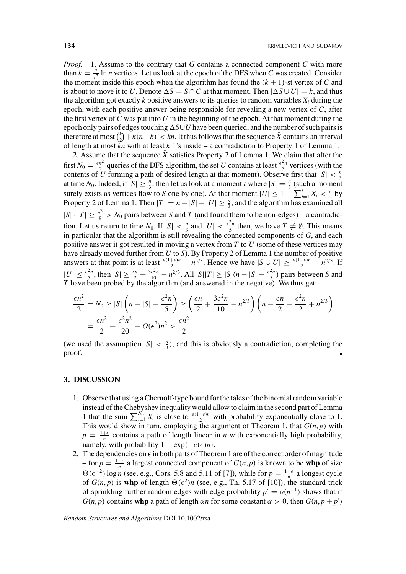*Proof.* 1. Assume to the contrary that *G* contains a connected component *C* with more than  $k = \frac{7}{62} \ln n$  vertices. Let us look at the epoch of the DFS when *C* was created. Consider the moment inside this epoch when the algorithm has found the  $(k + 1)$ -st vertex of *C* and is about to move it to *U*. Denote  $\Delta S = S \cap C$  at that moment. Then  $|\Delta S \cup U| = k$ , and thus the algorithm got exactly  $k$  positive answers to its queries to random variables  $X_i$  during the epoch, with each positive answer being responsible for revealing a new vertex of *C*, after the first vertex of *C* was put into *U* in the beginning of the epoch. At that moment during the epoch only pairs of edges touching *S*∪*U* have been queried, and the number of such pairs is therefore at most  $\binom{k}{2}$  $x_2^k$  +  $k(n-k)$  < *kn*. It thus follows that the sequence  $\bar{X}$  contains an interval of length at most *kn* with at least *k* 1's inside – a contradiction to Property 1 of Lemma 1.

2. Assume that the sequence  $\bar{X}$  satisfies Property 2 of Lemma 1. We claim that after the first  $N_0 = \frac{\epsilon n^2}{2}$  queries of the DFS algorithm, the set *U* contains at least  $\frac{\epsilon^2 n}{5}$  vertices (with the contents of *U* forming a path of desired length at that moment). Observe first that  $|S| < \frac{n}{3}$ at time *N*<sub>0</sub>. Indeed, if  $|S| \ge \frac{n}{3}$ , then let us look at a moment *t* where  $|S| = \frac{n}{3}$  (such a moment surely exists as vertices flow to *S* one by one). At that moment  $|U| \leq 1 + \sum_{i=1}^{t} X_i < \frac{n}{3}$  by Property 2 of Lemma 1. Then  $|T| = n - |S| - |U| \ge \frac{n}{3}$ , and the algorithm has examined all  $|S| \cdot |T| \ge \frac{n^2}{9} > N_0$  pairs between *S* and *T* (and found them to be non-edges) – a contradiction. Let us return to time  $N_0$ . If  $|S| < \frac{n}{3}$  and  $|U| < \frac{\epsilon^2 n}{5}$  then, we have  $T \neq \emptyset$ . This means in particular that the algorithm is still revealing the connected components of *G*, and each positive answer it got resulted in moving a vertex from *T* to *U* (some of these vertices may have already moved further from *U* to *S*). By Property 2 of Lemma 1 the number of positive answers at that point is at least  $\frac{\epsilon(1+\epsilon)n}{2} - n^{2/3}$ . Hence we have  $|S \cup U| \ge \frac{\epsilon(1+\epsilon)n}{2} - n^{2/3}$ . If  $|U| \le \frac{\varepsilon^2 n}{5}$ , then  $|S| \ge \frac{\varepsilon n}{2} + \frac{3\varepsilon^2 n}{10} - n^{2/3}$ . All  $|S||T| \ge |S|(n - |S| - \frac{\varepsilon^2 n}{5})$  pairs between *S* and *T* have been probed by the algorithm (and answered in the negative). We thus get:

$$
\frac{\epsilon n^2}{2} = N_0 \ge |S| \left( n - |S| - \frac{\epsilon^2 n}{5} \right) \ge \left( \frac{\epsilon n}{2} + \frac{3\epsilon^2 n}{10} - n^{2/3} \right) \left( n - \frac{\epsilon n}{2} - \frac{\epsilon^2 n}{2} + n^{2/3} \right)
$$

$$
= \frac{\epsilon n^2}{2} + \frac{\epsilon^2 n^2}{20} - O(\epsilon^3) n^2 > \frac{\epsilon n^2}{2}
$$

(we used the assumption  $|S| < \frac{n}{3}$ ), and this is obviously a contradiction, completing the proof.

#### **3. DISCUSSION**

- 1. Observe that using a Chernoff-type bound for the tales of the binomial random variable instead of the Chebyshev inequality would allow to claim in the second part of Lemma 1 that the sum  $\sum_{i=1}^{N_0} X_i$  is close to  $\frac{\epsilon(1+\epsilon)n}{2}$  with probability exponentially close to 1. This would show in turn, employing the argument of Theorem 1, that  $G(n, p)$  with  $p = \frac{1+\epsilon}{n}$  contains a path of length linear in *n* with exponentially high probability, namely, with probability  $1 - \exp\{-c(\epsilon)n\}$ .
- 2. The dependencies on  $\epsilon$  in both parts of Theorem 1 are of the correct order of magnitude  $-$  for  $p = \frac{1-\epsilon}{n}$  a largest connected component of *G*(*n*, *p*) is known to be **whp** of size  $\Theta(\epsilon^{-2}) \log n$  (see, e.g., Cors. 5.8 and 5.11 of [7]), while for  $p = \frac{1+\epsilon}{n}$  a longest cycle of  $G(n, p)$  is whp of length  $\Theta(\epsilon^2)n$  (see, e.g., Th. 5.17 of [10]); the standard trick of sprinkling further random edges with edge probability  $p' = o(n^{-1})$  shows that if *G*(*n*, *p*) contains **whp** a path of length  $\alpha n$  for some constant  $\alpha > 0$ , then  $G(n, p + p')$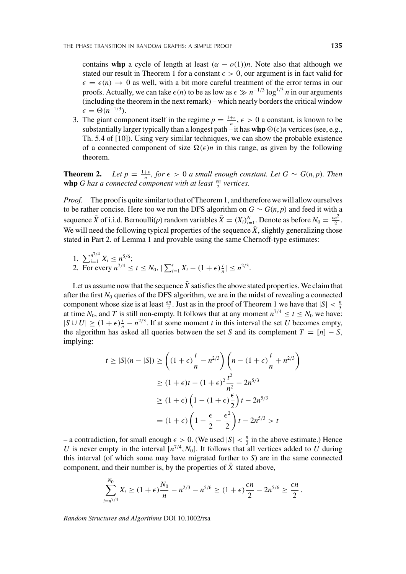contains **whp** a cycle of length at least  $(\alpha - o(1))n$ . Note also that although we stated our result in Theorem 1 for a constant  $\epsilon > 0$ , our argument is in fact valid for  $\epsilon = \epsilon(n) \rightarrow 0$  as well, with a bit more careful treatment of the error terms in our proofs. Actually, we can take  $\epsilon(n)$  to be as low as  $\epsilon \gg n^{-1/3} \log^{1/3} n$  in our arguments (including the theorem in the next remark) – which nearly borders the critical window  $\epsilon = \Theta(n^{-1/3}).$ 

3. The giant component itself in the regime  $p = \frac{1+\epsilon}{n}$ ,  $\epsilon > 0$  a constant, is known to be substantially larger typically than a longest path – it has  $whp \Theta(\epsilon)n$  vertices (see, e.g., Th. 5.4 of [10]). Using very similar techniques, we can show the probable existence of a connected component of size  $\Omega(\epsilon)n$  in this range, as given by the following theorem.

**Theorem 2.** Let  $p = \frac{1+\epsilon}{n}$ , for  $\epsilon > 0$  a small enough constant. Let  $G \sim G(n, p)$ . Then **whp** *G* has a connected component with at least  $\frac{\epsilon n}{2}$  vertices.

*Proof.* The proof is quite similar to that of Theorem 1, and therefore we will allow ourselves to be rather concise. Here too we run the DFS algorithm on  $G \sim G(n, p)$  and feed it with a sequence  $\bar{X}$  of i.i.d. Bernoulli(*p*) random variables  $\bar{X} = (X_i)_{i=1}^N$ . Denote as before  $N_0 = \frac{\epsilon n^2}{2}$ . We will need the following typical properties of the sequence  $\bar{X}$ , slightly generalizing those stated in Part 2. of Lemma 1 and provable using the same Chernoff-type estimates:

1.  $\sum_{i=1}^{n^{7/4}} X_i \leq n^{5/6}$ ; 2. For every  $n^{7/4} \le t \le N_0$ ,  $\sum_{i=1}^t X_i - (1+\epsilon) \frac{t}{n} \le n^{2/3}$ .

Let us assume now that the sequence  $\bar{X}$  satisfies the above stated properties. We claim that after the first  $N_0$  queries of the DFS algorithm, we are in the midst of revealing a connected component whose size is at least  $\frac{\epsilon n}{2}$ . Just as in the proof of Theorem 1 we have that  $|S| < \frac{n}{3}$ at time  $N_0$ , and *T* is still non-empty. It follows that at any moment  $n^{7/4} \le t \le N_0$  we have:  $|S \cup U| \ge (1 + \epsilon) \frac{t}{n} - n^{2/3}$ . If at some moment *t* in this interval the set *U* becomes empty, the algorithm has asked all queries between the set *S* and its complement  $T = [n] - S$ , implying:

$$
t \ge |S|(n-|S|) \ge \left( (1+\epsilon)\frac{t}{n} - n^{2/3} \right) \left( n - (1+\epsilon)\frac{t}{n} + n^{2/3} \right)
$$
  

$$
\ge (1+\epsilon)t - (1+\epsilon)^2 \frac{t^2}{n^2} - 2n^{5/3}
$$
  

$$
\ge (1+\epsilon) \left( 1 - (1+\epsilon)\frac{\epsilon}{2} \right) t - 2n^{5/3}
$$
  

$$
= (1+\epsilon) \left( 1 - \frac{\epsilon}{2} - \frac{\epsilon^2}{2} \right) t - 2n^{5/3} > t
$$

- a contradiction, for small enough  $\epsilon > 0$ . (We used  $|S| < \frac{n}{3}$  in the above estimate.) Hence *U* is never empty in the interval  $[n^{7/4}, N_0]$ . It follows that all vertices added to *U* during this interval (of which some may have migrated further to *S*) are in the same connected component, and their number is, by the properties of *X*¯ stated above,

$$
\sum_{i=n^{7/4}}^{N_0} X_i \ge (1+\epsilon)\frac{N_0}{n} - n^{2/3} - n^{5/6} \ge (1+\epsilon)\frac{\epsilon n}{2} - 2n^{5/6} \ge \frac{\epsilon n}{2}.
$$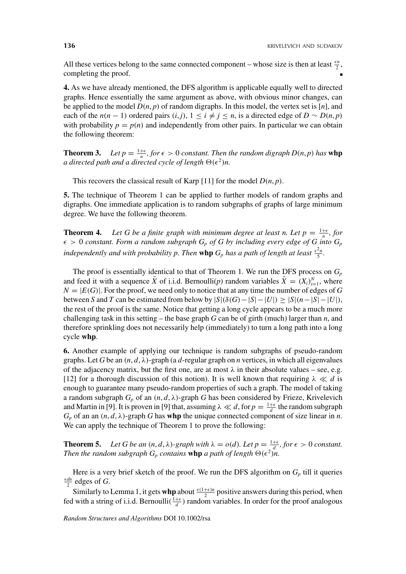All these vertices belong to the same connected component – whose size is then at least  $\frac{\epsilon n}{2}$ , completing the proof.

**4.** As we have already mentioned, the DFS algorithm is applicable equally well to directed graphs. Hence essentially the same argument as above, with obvious minor changes, can be applied to the model  $D(n, p)$  of random digraphs. In this model, the vertex set is [*n*], and each of the  $n(n - 1)$  ordered pairs  $(i, j)$ ,  $1 \le i \ne j \le n$ , is a directed edge of  $D \sim D(n, p)$ with probability  $p = p(n)$  and independently from other pairs. In particular we can obtain the following theorem:

**Theorem 3.** Let  $p = \frac{1+\epsilon}{n}$ , for  $\epsilon > 0$  constant. Then the random digraph  $D(n, p)$  has whp *a directed path and a directed cycle of length*  $\Theta(\epsilon^2)n$ .

This recovers the classical result of Karp [11] for the model  $D(n, p)$ .

**5.** The technique of Theorem 1 can be applied to further models of random graphs and digraphs. One immediate application is to random subgraphs of graphs of large minimum degree. We have the following theorem.

**Theorem 4.** Let G be a finite graph with minimum degree at least n. Let  $p = \frac{1+\epsilon}{n}$ , for  $\epsilon > 0$  constant. Form a random subgraph  $G_p$  of G by including every edge of G into  $G_p$ *independently and with probability p. Then* **whp**  $G_p$  *has a path of length at least*  $\frac{\epsilon^2 n}{5}$ *.* 

The proof is essentially identical to that of Theorem 1. We run the DFS process on  $G_p$ and feed it with a sequence  $\bar{X}$  of i.i.d. Bernoulli(*p*) random variables  $\bar{X} = (X_i)_{i=1}^N$ , where  $N = |E(G)|$ . For the proof, we need only to notice that at any time the number of edges of *G* between *S* and *T* can be estimated from below by  $|S|(\delta(G) - |S| - |U|) > |S|(n - |S| - |U|)$ , the rest of the proof is the same. Notice that getting a long cycle appears to be a much more challenging task in this setting – the base graph *G* can be of girth (much) larger than *n*, and therefore sprinkling does not necessarily help (immediately) to turn a long path into a long cycle **whp**.

**6.** Another example of applying our technique is random subgraphs of pseudo-random graphs. Let *G* be an  $(n, d, \lambda)$ -graph (a *d*-regular graph on *n* vertices, in which all eigenvalues of the adjacency matrix, but the first one, are at most  $\lambda$  in their absolute values – see, e.g. [12] for a thorough discussion of this notion). It is well known that requiring  $\lambda \ll d$  is enough to guarantee many pseudo-random properties of such a graph. The model of taking a random subgraph  $G_p$  of an  $(n, d, \lambda)$ -graph *G* has been considered by Frieze, Krivelevich and Martin in [9]. It is proven in [9] that, assuming  $\lambda \ll d$ , for  $p = \frac{1+\epsilon}{d}$  the random subgraph  $G_p$  of an an  $(n, d, \lambda)$ -graph *G* has **whp** the unique connected component of size linear in *n*. We can apply the technique of Theorem 1 to prove the following:

**Theorem 5.** *Let G be an*  $(n, d, \lambda)$ -graph with  $\lambda = o(d)$ . Let  $p = \frac{1+\epsilon}{d}$ , for  $\epsilon > 0$  constant. *Then the random subgraph*  $G_p$  *contains* **whp** *a path of length*  $\Theta(\epsilon^2)n$ *.* 

Here is a very brief sketch of the proof. We run the DFS algorithm on  $G_p$  till it queries  $\frac{\epsilon d n}{2}$  edges of *G*.

Similarly to Lemma 1, it gets **whp** about  $\frac{\epsilon(1+\epsilon)n}{2}$  positive answers during this period, when fed with a string of i.i.d. Bernoulli $(\frac{1+\epsilon}{d})$  random variables. In order for the proof analogous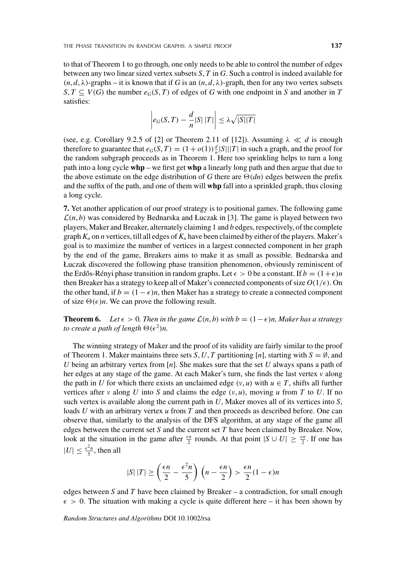to that of Theorem 1 to go through, one only needs to be able to control the number of edges between any two linear sized vertex subsets *S*, *T* in *G*. Such a control is indeed available for  $(n, d, \lambda)$ -graphs – it is known that if *G* is an  $(n, d, \lambda)$ -graph, then for any two vertex subsets  $S, T \subseteq V(G)$  the number  $e_G(S, T)$  of edges of *G* with one endpoint in *S* and another in *T* satisfies:

$$
\left| e_G(S,T) - \frac{d}{n} |S| |T| \right| \leq \lambda \sqrt{|S||T|}
$$

(see, e.g. Corollary 9.2.5 of [2] or Theorem 2.11 of [12]). Assuming  $\lambda \ll d$  is enough therefore to guarantee that  $e_G(S, T) = (1 + o(1)) \frac{d}{n} |S|| |T|$  in such a graph, and the proof for the random subgraph proceeds as in Theorem 1. Here too sprinkling helps to turn a long path into a long cycle **whp** – we first get **whp** a linearly long path and then argue that due to the above estimate on the edge distribution of *G* there are  $\Theta(dn)$  edges between the prefix and the suffix of the path, and one of them will **whp** fall into a sprinkled graph, thus closing a long cycle.

**7.** Yet another application of our proof strategy is to positional games. The following game  $\mathcal{L}(n, b)$  was considered by Bednarska and Łuczak in [3]. The game is played between two players, Maker and Breaker, alternately claiming 1 and *b* edges, respectively, of the complete graph*Kn* on *n* vertices, till all edges of*Kn* have been claimed by either of the players. Maker's goal is to maximize the number of vertices in a largest connected component in her graph by the end of the game, Breakers aims to make it as small as possible. Bednarska and Łuczak discovered the following phase transition phenomenon, obviously reminiscent of the Erdős-Rényi phase transition in random graphs. Let  $\epsilon > 0$  be a constant. If  $b = (1 + \epsilon)n$ then Breaker has a strategy to keep all of Maker's connected components of size  $O(1/\epsilon)$ . On the other hand, if  $b = (1 - \epsilon)n$ , then Maker has a strategy to create a connected component of size  $\Theta(\epsilon)n$ . We can prove the following result.

**Theorem 6.** *Let*  $\epsilon > 0$ *. Then in the game*  $\mathcal{L}(n, b)$  *with*  $b = (1 - \epsilon)n$ *, Maker has a strategy to create a path of length*  $\Theta(\epsilon^2)n$ .

The winning strategy of Maker and the proof of its validity are fairly similar to the proof of Theorem 1. Maker maintains three sets *S*, *U*, *T* partitioning [*n*], starting with  $S = \emptyset$ , and *U* being an arbitrary vertex from [*n*]. She makes sure that the set *U* always spans a path of her edges at any stage of the game. At each Maker's turn, she finds the last vertex *v* along the path in *U* for which there exists an unclaimed edge  $(v, u)$  with  $u \in T$ , shifts all further vertices after *v* along *U* into *S* and claims the edge  $(v, u)$ , moving *u* from *T* to *U*. If no such vertex is available along the current path in *U*, Maker moves all of its vertices into *S*, loads *U* with an arbitrary vertex *u* from *T* and then proceeds as described before. One can observe that, similarly to the analysis of the DFS algorithm, at any stage of the game all edges between the current set *S* and the current set *T* have been claimed by Breaker. Now, look at the situation in the game after  $\frac{\epsilon n}{2}$  rounds. At that point  $|S \cup U| \ge \frac{\epsilon n}{2}$ . If one has  $|U| \leq \frac{\epsilon^2 n}{5}$ , then all

$$
|S| |T| \ge \left(\frac{\epsilon n}{2} - \frac{\epsilon^2 n}{5}\right) \left(n - \frac{\epsilon n}{2}\right) > \frac{\epsilon n}{2} (1 - \epsilon)n
$$

edges between *S* and *T* have been claimed by Breaker – a contradiction, for small enough  $\epsilon > 0$ . The situation with making a cycle is quite different here – it has been shown by